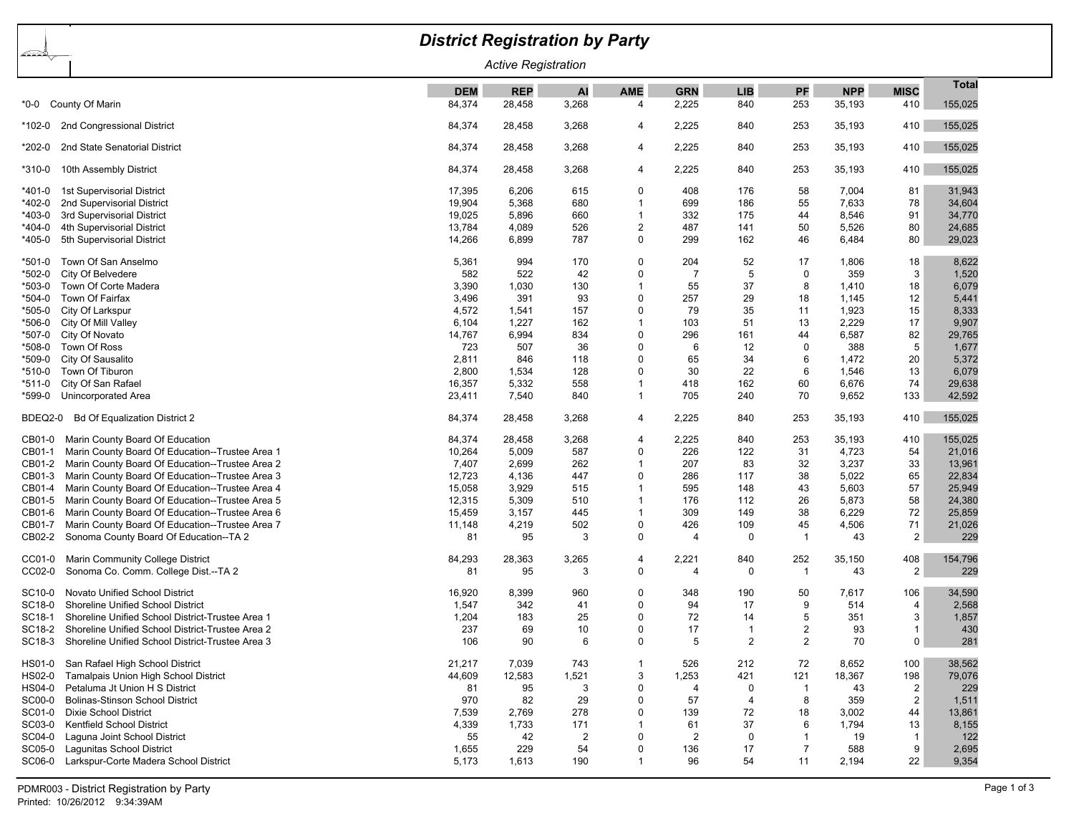|                                          |                                                         | <b>District Registration by Party</b> |            |                |                |                |                |                |            |                |              |  |
|------------------------------------------|---------------------------------------------------------|---------------------------------------|------------|----------------|----------------|----------------|----------------|----------------|------------|----------------|--------------|--|
| <u>And</u><br><b>Active Registration</b> |                                                         |                                       |            |                |                |                |                |                |            |                |              |  |
|                                          |                                                         | <b>DEM</b>                            | <b>REP</b> | Al             | <b>AME</b>     | <b>GRN</b>     | <b>LIB</b>     | PF             | <b>NPP</b> | <b>MISC</b>    | <b>Total</b> |  |
|                                          | *0-0 County Of Marin                                    | 84,374                                | 28,458     | 3,268          | 4              | 2,225          | 840            | 253            | 35,193     | 410            | 155,025      |  |
| 102-0*                                   | 2nd Congressional District                              | 84,374                                | 28,458     | 3,268          | 4              | 2,225          | 840            | 253            | 35,193     | 410            | 155,025      |  |
| *202-0                                   | 2nd State Senatorial District                           | 84,374                                | 28,458     | 3,268          | 4              | 2,225          | 840            | 253            | 35,193     | 410            | 155,025      |  |
| *310-0                                   | 10th Assembly District                                  | 84,374                                | 28,458     | 3,268          | 4              | 2,225          | 840            | 253            | 35,193     | 410            | 155,025      |  |
| *401-0                                   | 1st Supervisorial District                              | 17,395                                | 6,206      | 615            | $\Omega$       | 408            | 176            | 58             | 7,004      | 81             | 31,943       |  |
| *402-0                                   | 2nd Supervisorial District                              | 19,904                                | 5,368      | 680            | $\mathbf 1$    | 699            | 186            | 55             | 7,633      | 78             | 34,604       |  |
| *403-0                                   | 3rd Supervisorial District                              | 19,025                                | 5,896      | 660            | $\mathbf{1}$   | 332            | 175            | 44             | 8,546      | 91             | 34,770       |  |
| *404-0                                   | 4th Supervisorial District                              | 13,784                                | 4,089      | 526            | $\overline{c}$ | 487            | 141            | 50             | 5,526      | 80             | 24,685       |  |
| *405-0                                   | 5th Supervisorial District                              | 14,266                                | 6,899      | 787            | $\mathbf 0$    | 299            | 162            | 46             | 6,484      | 80             | 29,023       |  |
| *501-0                                   | Town Of San Anselmo                                     | 5,361                                 | 994        | 170            | $\mathbf 0$    | 204            | 52             | 17             | 1,806      | 18             | 8,622        |  |
| *502-0                                   | City Of Belvedere                                       | 582                                   | 522        | 42             | $\Omega$       | $\overline{7}$ | 5              | 0              | 359        | 3              | 1,520        |  |
| *503-0                                   | Town Of Corte Madera                                    | 3,390                                 | 1,030      | 130            |                | 55             | 37             | 8              | 1,410      | 18             | 6,079        |  |
| *504-0                                   | Town Of Fairfax                                         | 3,496                                 | 391        | 93             | $\Omega$       | 257            | 29             | 18             | 1,145      | 12             | 5,441        |  |
| *505-0                                   | City Of Larkspur                                        | 4,572                                 | 1,541      | 157            | $\Omega$       | 79             | 35             | 11             | 1,923      | 15             | 8,333        |  |
| *506-0                                   | City Of Mill Valley                                     | 6,104                                 | 1,227      | 162            |                | 103            | 51             | 13             | 2,229      | 17             | 9,907        |  |
| *507-0                                   | City Of Novato                                          | 14,767                                | 6,994      | 834            | $\Omega$       | 296            | 161            | 44             | 6,587      | 82             | 29,765       |  |
| *508-0                                   | Town Of Ross                                            | 723                                   | 507        | 36             | $\Omega$       | 6              | 12             | $\mathbf 0$    | 388        | 5              | 1,677        |  |
| *509-0                                   | City Of Sausalito                                       | 2,811                                 | 846        | 118            | $\Omega$       | 65             | 34             | 6              | 1,472      | 20             | 5,372        |  |
| *510-0                                   | Town Of Tiburon                                         | 2,800                                 | 1,534      | 128            | $\Omega$       | 30             | 22             | 6              | 1,546      | 13             | 6,079        |  |
| *511-0                                   | City Of San Rafael                                      | 16,357                                | 5,332      | 558            | 1              | 418            | 162            | 60             | 6,676      | 74             | 29,638       |  |
| *599-0                                   | Unincorporated Area                                     | 23,411                                | 7,540      | 840            | $\mathbf 1$    | 705            | 240            | 70             | 9,652      | 133            | 42,592       |  |
| BDEQ2-0                                  | <b>Bd Of Equalization District 2</b>                    | 84,374                                | 28,458     | 3,268          | 4              | 2,225          | 840            | 253            | 35,193     | 410            | 155,025      |  |
| CB01-0                                   | Marin County Board Of Education                         | 84,374                                | 28,458     | 3,268          | 4              | 2,225          | 840            | 253            | 35,193     | 410            | 155,025      |  |
| CB01-1                                   | Marin County Board Of Education--Trustee Area 1         | 10,264                                | 5,009      | 587            | $\mathbf 0$    | 226            | 122            | 31             | 4,723      | 54             | 21,016       |  |
| CB01-2                                   | Marin County Board Of Education--Trustee Area 2         | 7,407                                 | 2,699      | 262            | 1              | 207            | 83             | 32             | 3,237      | 33             | 13,961       |  |
| CB01-3                                   | Marin County Board Of Education--Trustee Area 3         | 12,723                                | 4,136      | 447            | $\Omega$       | 286            | 117            | 38             | 5,022      | 65             | 22,834       |  |
| CB01-4                                   | Marin County Board Of Education--Trustee Area 4         | 15,058                                | 3,929      | 515            | 1              | 595            | 148            | 43             | 5,603      | 57             | 25,949       |  |
| CB01-5                                   | Marin County Board Of Education--Trustee Area 5         | 12,315                                | 5,309      | 510            | -1             | 176            | 112            | 26             | 5,873      | 58             | 24,380       |  |
| CB01-6                                   | Marin County Board Of Education--Trustee Area 6         | 15,459                                | 3,157      | 445            | -1             | 309            | 149            | 38             | 6,229      | 72             | 25,859       |  |
| CB01-7                                   | Marin County Board Of Education--Trustee Area 7         | 11,148                                | 4,219      | 502            | $\mathbf 0$    | 426            | 109            | 45             | 4,506      | 71             | 21,026       |  |
| CB02-2                                   | Sonoma County Board Of Education--TA 2                  | 81                                    | 95         | 3              | 0              | $\overline{4}$ | 0              | $\mathbf 1$    | 43         | 2              | 229          |  |
| CC01-0                                   | Marin Community College District                        | 84,293                                | 28,363     | 3,265          | 4              | 2,221          | 840            | 252            | 35,150     | 408            | 154,796      |  |
| CC02-0                                   | Sonoma Co. Comm. College Dist.--TA 2                    | 81                                    | 95         | 3              | $\mathbf 0$    | $\overline{4}$ | $\Omega$       | -1             | 43         | 2              | 229          |  |
| SC10-0                                   | Novato Unified School District                          | 16,920                                | 8,399      | 960            | $\mathbf 0$    | 348            | 190            | 50             | 7,617      | 106            | 34,590       |  |
| SC18-0                                   | <b>Shoreline Unified School District</b>                | 1,547                                 | 342        | 41             | $\Omega$       | 94             | 17             | 9              | 514        | $\overline{4}$ | 2,568        |  |
| SC18-1                                   | Shoreline Unified School District-Trustee Area 1        | 1,204                                 | 183        | 25             | $\Omega$       | 72             | 14             | 5              | 351        | 3              | 1,857        |  |
|                                          | SC18-2 Shoreline Unified School District-Trustee Area 2 | 237                                   | 69         | 10             | 0              | 17             | -1             | 2              | 93         | -1             | 430          |  |
| SC18-3                                   | Shoreline Unified School District-Trustee Area 3        | 106                                   | 90         | 6              | 0              |                | 2              | 2              | 70         | 0 <sup>1</sup> | 281          |  |
| HS01-0                                   | San Rafael High School District                         | 21,217                                | 7,039      | 743            | -1             | 526            | 212            | 72             | 8,652      | 100            | 38,562       |  |
| HS02-0                                   | Tamalpais Union High School District                    | 44,609                                | 12,583     | 1,521          | 3              | 1,253          | 421            | 121            | 18,367     | 198            | 79,076       |  |
| HS04-0                                   | Petaluma Jt Union H S District                          | 81                                    | 95         | 3              | 0              | 4              | 0              | $\mathbf{1}$   | 43         | 2              | 229          |  |
| SC00-0                                   | <b>Bolinas-Stinson School District</b>                  | 970                                   | 82         | 29             | 0              | 57             | $\overline{4}$ | 8              | 359        | $\overline{2}$ | 1,511        |  |
| SC01-0                                   | <b>Dixie School District</b>                            | 7,539                                 | 2,769      | 278            | $\mathbf 0$    | 139            | 72             | 18             | 3,002      | 44             | 13,861       |  |
| SC03-0                                   | Kentfield School District                               | 4,339                                 | 1,733      | 171            | 1              | 61             | 37             | 6              | 1,794      | 13             | 8,155        |  |
| SC04-0                                   | Laguna Joint School District                            | 55                                    | 42         | $\overline{2}$ | 0              | 2              | 0              | $\mathbf{1}$   | 19         | $\overline{1}$ | 122          |  |
| SC05-0                                   | Lagunitas School District                               | 1,655                                 | 229        | 54             | 0              | 136            | 17             | $\overline{7}$ | 588        | 9              | 2,695        |  |
| SC06-0                                   | Larkspur-Corte Madera School District                   | 5,173                                 | 1,613      | 190            | $\mathbf 1$    | 96             | 54             | 11             | 2,194      | 22             | 9,354        |  |
|                                          |                                                         |                                       |            |                |                |                |                |                |            |                |              |  |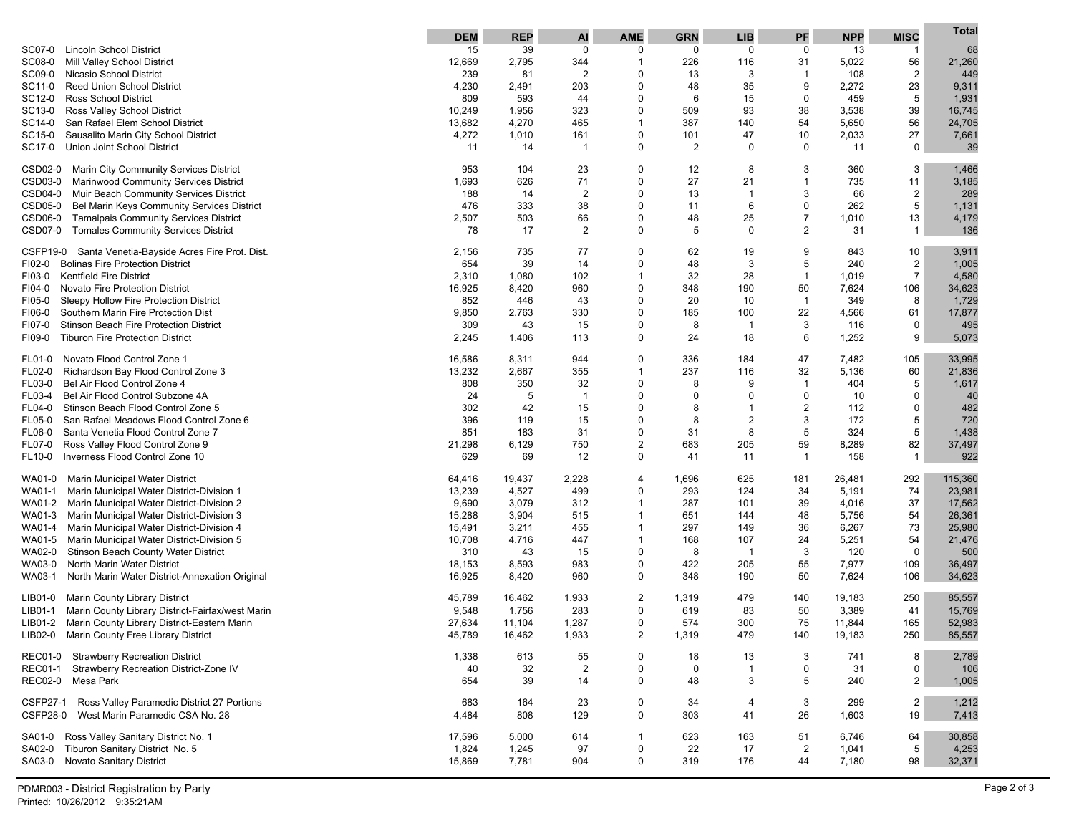|                                                               | <b>DEM</b> | <b>REP</b> | Al             | <b>AME</b>     | <b>GRN</b>     | <b>LIB</b>              | PF             | <b>NPP</b> | <b>MISC</b>             | <b>Total</b> |
|---------------------------------------------------------------|------------|------------|----------------|----------------|----------------|-------------------------|----------------|------------|-------------------------|--------------|
| <b>Lincoln School District</b><br>SC07-0                      | 15         | 39         | $\mathbf 0$    | 0              | 0              | 0                       | $\mathbf 0$    | 13         | $\mathbf{1}$            | 68           |
| SC08-0<br>Mill Valley School District                         | 12,669     | 2,795      | 344            | $\overline{1}$ | 226            | 116                     | 31             | 5,022      | 56                      | 21,260       |
| SC09-0<br>Nicasio School District                             | 239        | 81         | $\overline{2}$ | 0              | 13             | 3                       | $\mathbf{1}$   | 108        | $\overline{\mathbf{c}}$ | 449          |
| <b>Reed Union School District</b><br>SC11-0                   | 4,230      | 2,491      | 203            | 0              | 48             | 35                      | 9              | 2,272      | 23                      | 9,311        |
| <b>Ross School District</b><br>SC12-0                         | 809        | 593        | 44             | 0              | 6              | 15                      | 0              | 459        | 5                       | 1,931        |
| SC13-0<br>Ross Valley School District                         | 10,249     | 1,956      | 323            | 0              | 509            | 93                      | 38             | 3,538      | 39                      | 16,745       |
| San Rafael Elem School District<br>SC14-0                     | 13,682     | 4,270      | 465            | $\mathbf 1$    | 387            | 140                     | 54             | 5,650      | 56                      | 24,705       |
| Sausalito Marin City School District<br>SC15-0                | 4,272      | 1,010      | 161            | 0              | 101            | 47                      | 10             | 2,033      | 27                      | 7,661        |
| Union Joint School District<br>SC17-0                         | 11         | 14         |                | 0              | $\overline{2}$ | 0                       | 0              | 11         | $\mathbf 0$             | 39           |
| CSD02-0<br>Marin City Community Services District             | 953        | 104        | 23             | $\Omega$       | 12             | 8                       | 3              | 360        | 3                       | 1,466        |
| CSD03-0<br>Marinwood Community Services District              | 1,693      | 626        | 71             | 0              | 27             | 21                      | 1              | 735        | 11                      | 3,185        |
| CSD04-0 Muir Beach Community Services District                | 188        | 14         | $\overline{2}$ | 0              | 13             | -1                      | 3              | 66         | $\overline{\mathbf{c}}$ | 289          |
| CSD05-0<br>Bel Marin Keys Community Services District         | 476        | 333        | 38             | 0              | 11             | 6                       | $\mathbf 0$    | 262        | 5                       | 1,131        |
| CSD06-0<br><b>Tamalpais Community Services District</b>       | 2,507      | 503        | 66             | 0              | 48             | 25                      | $\overline{7}$ | 1,010      | 13                      | 4,179        |
| CSD07-0<br><b>Tomales Community Services District</b>         | 78         | 17         | $\overline{2}$ | $\Omega$       | 5              | $\mathbf 0$             | $\overline{2}$ | 31         | $\mathbf{1}$            | 136          |
| CSFP19-0<br>Santa Venetia-Bayside Acres Fire Prot. Dist.      | 2,156      | 735        | 77             | 0              | 62             | 19                      | 9              | 843        | 10                      | 3,911        |
| <b>Bolinas Fire Protection District</b><br>FI02-0             | 654        | 39         | 14             | $\mathbf 0$    | 48             | 3                       | 5              | 240        | $\overline{2}$          | 1,005        |
| <b>Kentfield Fire District</b><br>FI03-0                      | 2,310      | 1,080      | 102            | $\mathbf{1}$   | 32             | 28                      | $\mathbf{1}$   | 1,019      | $\overline{7}$          | 4,580        |
| Novato Fire Protection District<br>FI04-0                     | 16,925     | 8,420      | 960            | $\mathbf 0$    | 348            | 190                     | 50             | 7,624      | 106                     | 34,623       |
| Sleepy Hollow Fire Protection District<br>FI05-0              | 852        | 446        | 43             | $\Omega$       | 20             | 10                      | $\mathbf{1}$   | 349        | 8                       | 1,729        |
| Southern Marin Fire Protection Dist<br>FI06-0                 | 9,850      | 2,763      | 330            | $\mathbf 0$    | 185            | 100                     | 22             | 4,566      | 61                      | 17,877       |
| Stinson Beach Fire Protection District<br>FI07-0              | 309        | 43         | 15             | $\Omega$       | 8              | -1                      | 3              | 116        | $\mathbf 0$             | 495          |
| <b>Tiburon Fire Protection District</b><br>FI09-0             | 2,245      | 1,406      | 113            | 0              | 24             | 18                      | 6              | 1,252      | 9                       | 5,073        |
| Novato Flood Control Zone 1<br>FL01-0                         | 16,586     | 8,311      | 944            | $\Omega$       | 336            | 184                     | 47             | 7,482      | 105                     | 33,995       |
| Richardson Bay Flood Control Zone 3<br>FL02-0                 | 13,232     | 2,667      | 355            | $\mathbf 1$    | 237            | 116                     | 32             | 5,136      | 60                      | 21,836       |
| Bel Air Flood Control Zone 4<br>FL03-0                        | 808        | 350        | 32             | 0              | 8              | 9                       | $\mathbf 1$    | 404        | 5                       | 1,617        |
| Bel Air Flood Control Subzone 4A<br>FL03-4                    | 24         | 5          | -1             | $\Omega$       | $\Omega$       | 0                       | 0              | 10         | $\Omega$                | 40           |
| Stinson Beach Flood Control Zone 5<br>FL04-0                  | 302        | 42         | 15             | 0              | 8              | $\overline{\mathbf{1}}$ | $\overline{2}$ | 112        | $\mathbf 0$             | 482          |
| San Rafael Meadows Flood Control Zone 6<br>FL05-0             | 396        | 119        | 15             | $\Omega$       | 8              | 2                       | 3              | 172        | 5                       | 720          |
| Santa Venetia Flood Control Zone 7<br>FL06-0                  | 851        | 183        | 31             | $\Omega$       | 31             | 8                       | 5              | 324        | 5                       | 1,438        |
| Ross Valley Flood Control Zone 9<br>FL07-0                    | 21,298     | 6,129      | 750            | $\overline{2}$ | 683            | 205                     | 59             | 8,289      | 82                      | 37,497       |
| Inverness Flood Control Zone 10<br>FL10-0                     | 629        | 69         | 12             | 0              | 41             | 11                      | $\mathbf{1}$   | 158        | $\mathbf{1}$            | 922          |
| Marin Municipal Water District<br>WA01-0                      | 64,416     | 19,437     | 2,228          | $\overline{4}$ | 1,696          | 625                     | 181            | 26,481     | 292                     | 115,360      |
| Marin Municipal Water District-Division 1<br>WA01-1           | 13,239     | 4,527      | 499            | 0              | 293            | 124                     | 34             | 5,191      | 74                      | 23,981       |
| Marin Municipal Water District-Division 2<br>WA01-2           | 9,690      | 3,079      | 312            | -1             | 287            | 101                     | 39             | 4,016      | 37                      | 17,562       |
| Marin Municipal Water District-Division 3<br>WA01-3           | 15,288     | 3,904      | 515            | -1             | 651            | 144                     | 48             | 5,756      | 54                      | 26,361       |
| Marin Municipal Water District-Division 4<br>WA01-4           | 15,491     | 3,211      | 455            | 1              | 297            | 149                     | 36             | 6,267      | 73                      | 25,980       |
| WA01-5<br>Marin Municipal Water District-Division 5           | 10,708     | 4,716      | 447            | -1             | 168            | 107                     | 24             | 5,251      | 54                      | 21,476       |
| WA02-0<br>Stinson Beach County Water District                 | 310        | 43         | 15             | $\Omega$       | 8              | -1                      | 3              | 120        | $\mathbf 0$             | 500          |
| North Marin Water District<br>WA03-0                          | 18,153     | 8,593      | 983            | 0              | 422            | 205                     | 55             | 7,977      | 109                     | 36,497       |
| WA03-1<br>North Marin Water District-Annexation Original      | 16,925     | 8,420      | 960            | 0              | 348            | 190                     | 50             | 7,624      | 106                     | 34,623       |
| <b>Marin County Library District</b><br>LIB01-0               | 45,789     | 16,462     | 1,933          | $\overline{2}$ | 1,319          | 479                     | 140            | 19,183     | 250                     | 85,557       |
| Marin County Library District-Fairfax/west Marin<br>LIB01-1   | 9,548      | 1,756      | 283            | $\mathbf 0$    | 619            | 83                      | 50             | 3,389      | 41                      | 15,769       |
| Marin County Library District-Eastern Marin<br>LIB01-2        | 27,634     | 11,104     | 1,287          | 0              | 574            | 300                     | 75             | 11,844     | 165                     | 52,983       |
| LIB02-0 Marin County Free Library District                    | 45,789     | 16,462     | 1,933          | 2              | 1,319          | 479                     | 140            | 19,183     | 250                     | 85,557       |
| REC01-0 Strawberry Recreation District                        | 1,338      | 613        | 55             | 0              | 18             | 13                      | 3              | 741        | 8                       | 2,789        |
| Strawberry Recreation District-Zone IV<br><b>REC01-1</b>      | 40         | 32         | $\overline{2}$ | 0              | 0              | $\overline{1}$          | 0              | 31         | 0                       | 106          |
| REC02-0 Mesa Park                                             | 654        | 39         | 14             | $\mathbf 0$    | 48             | 3                       | 5              | 240        | $\overline{\mathbf{c}}$ | 1,005        |
| <b>CSFP27-1</b><br>Ross Valley Paramedic District 27 Portions | 683        | 164        | 23             | 0              | 34             | 4                       | 3              | 299        | $\overline{2}$          | 1,212        |
| CSFP28-0 West Marin Paramedic CSA No. 28                      | 4,484      | 808        | 129            | 0              | 303            | 41                      | 26             | 1,603      | 19                      | 7,413        |
| Ross Valley Sanitary District No. 1<br>SA01-0                 | 17,596     | 5,000      | 614            | $\mathbf{1}$   | 623            | 163                     | 51             | 6,746      | 64                      | 30,858       |
| Tiburon Sanitary District No. 5<br>SA02-0                     | 1,824      | 1,245      | 97             | 0              | 22             | 17                      | $\overline{c}$ | 1,041      | 5                       | 4,253        |
| Novato Sanitary District<br>SA03-0                            | 15,869     | 7,781      | 904            | $\mathbf 0$    | 319            | 176                     | 44             | 7,180      | 98                      | 32,371       |
|                                                               |            |            |                |                |                |                         |                |            |                         |              |